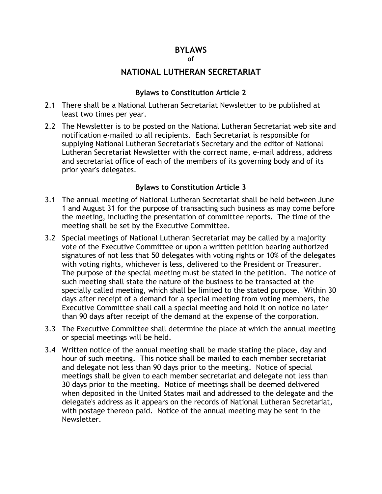### **BYLAWS**

#### **of**

### **NATIONAL LUTHERAN SECRETARIAT**

### **Bylaws to Constitution Article 2**

- 2.1 There shall be a National Lutheran Secretariat Newsletter to be published at least two times per year.
- 2.2 The Newsletter is to be posted on the National Lutheran Secretariat web site and notification e-mailed to all recipients. Each Secretariat is responsible for supplying National Lutheran Secretariat's Secretary and the editor of National Lutheran Secretariat Newsletter with the correct name, e-mail address, address and secretariat office of each of the members of its governing body and of its prior year's delegates.

### **Bylaws to Constitution Article 3**

- 3.1 The annual meeting of National Lutheran Secretariat shall be held between June 1 and August 31 for the purpose of transacting such business as may come before the meeting, including the presentation of committee reports. The time of the meeting shall be set by the Executive Committee.
- 3.2 Special meetings of National Lutheran Secretariat may be called by a majority vote of the Executive Committee or upon a written petition bearing authorized signatures of not less that 50 delegates with voting rights or 10% of the delegates with voting rights, whichever is less, delivered to the President or Treasurer. The purpose of the special meeting must be stated in the petition. The notice of such meeting shall state the nature of the business to be transacted at the specially called meeting, which shall be limited to the stated purpose. Within 30 days after receipt of a demand for a special meeting from voting members, the Executive Committee shall call a special meeting and hold it on notice no later than 90 days after receipt of the demand at the expense of the corporation.
- 3.3 The Executive Committee shall determine the place at which the annual meeting or special meetings will be held.
- 3.4 Written notice of the annual meeting shall be made stating the place, day and hour of such meeting. This notice shall be mailed to each member secretariat and delegate not less than 90 days prior to the meeting. Notice of special meetings shall be given to each member secretariat and delegate not less than 30 days prior to the meeting. Notice of meetings shall be deemed delivered when deposited in the United States mail and addressed to the delegate and the delegate's address as it appears on the records of National Lutheran Secretariat, with postage thereon paid. Notice of the annual meeting may be sent in the Newsletter.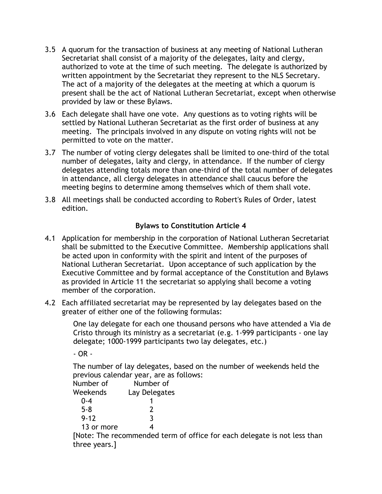- 3.5 A quorum for the transaction of business at any meeting of National Lutheran Secretariat shall consist of a majority of the delegates, laity and clergy, authorized to vote at the time of such meeting. The delegate is authorized by written appointment by the Secretariat they represent to the NLS Secretary. The act of a majority of the delegates at the meeting at which a quorum is present shall be the act of National Lutheran Secretariat, except when otherwise provided by law or these Bylaws.
- 3.6 Each delegate shall have one vote. Any questions as to voting rights will be settled by National Lutheran Secretariat as the first order of business at any meeting. The principals involved in any dispute on voting rights will not be permitted to vote on the matter.
- 3.7 The number of voting clergy delegates shall be limited to one-third of the total number of delegates, laity and clergy, in attendance. If the number of clergy delegates attending totals more than one-third of the total number of delegates in attendance, all clergy delegates in attendance shall caucus before the meeting begins to determine among themselves which of them shall vote.
- 3.8 All meetings shall be conducted according to Robert's Rules of Order, latest edition.

## **Bylaws to Constitution Article 4**

- 4.1 Application for membership in the corporation of National Lutheran Secretariat shall be submitted to the Executive Committee. Membership applications shall be acted upon in conformity with the spirit and intent of the purposes of National Lutheran Secretariat. Upon acceptance of such application by the Executive Committee and by formal acceptance of the Constitution and Bylaws as provided in Article 11 the secretariat so applying shall become a voting member of the corporation.
- 4.2 Each affiliated secretariat may be represented by lay delegates based on the greater of either one of the following formulas:

One lay delegate for each one thousand persons who have attended a Via de Cristo through its ministry as a secretariat (e.g. 1-999 participants - one lay delegate; 1000-1999 participants two lay delegates, etc.)

- OR -

The number of lay delegates, based on the number of weekends held the previous calendar year, are as follows:

| Number of  | Number of     |
|------------|---------------|
| Weekends   | Lay Delegates |
| $0 - 4$    |               |
| $5 - 8$    | 2             |
| $9 - 12$   | २             |
| 13 or more | 4             |
|            |               |

[Note: The recommended term of office for each delegate is not less than three years.]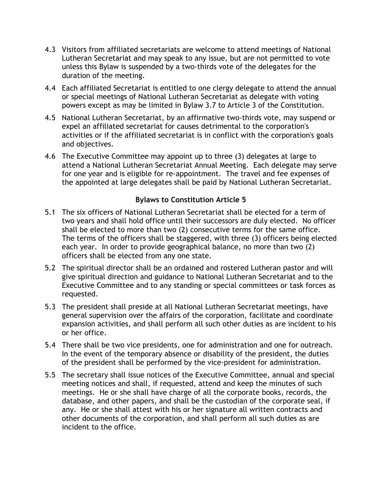- 4.3 Visitors from affiliated secretariats are welcome to attend meetings of National Lutheran Secretariat and may speak to any issue, but are not permitted to vote unless this Bylaw is suspended by a two-thirds vote of the delegates for the duration of the meeting.
- 4.4 Each affiliated Secretariat is entitled to one clergy delegate to attend the annual or special meetings of National Lutheran Secretariat as delegate with voting powers except as may be limited in Bylaw 3.7 to Article 3 of the Constitution.
- 4.5 National Lutheran Secretariat, by an affirmative two-thirds vote, may suspend or expel an affiliated secretariat for causes detrimental to the corporation's activities or if the affiliated secretariat is in conflict with the corporation's goals and objectives.
- 4.6 The Executive Committee may appoint up to three (3) delegates at large to attend a National Lutheran Secretariat Annual Meeting. Each delegate may serve for one year and is eligible for re-appointment. The travel and fee expenses of the appointed at large delegates shall be paid by National Lutheran Secretariat.

### **Bylaws to Constitution Article 5**

- 5.1 The six officers of National Lutheran Secretariat shall be elected for a term of two years and shall hold office until their successors are duly elected. No officer shall be elected to more than two (2) consecutive terms for the same office. The terms of the officers shall be staggered, with three (3) officers being elected each year. In order to provide geographical balance, no more than two (2) officers shall be elected from any one state.
- 5.2 The spiritual director shall be an ordained and rostered Lutheran pastor and will give spiritual direction and guidance to National Lutheran Secretariat and to the Executive Committee and to any standing or special committees or task forces as requested.
- 5.3 The president shall preside at all National Lutheran Secretariat meetings, have general supervision over the affairs of the corporation, facilitate and coordinate expansion activities, and shall perform all such other duties as are incident to his or her office.
- 5.4 There shall be two vice presidents, one for administration and one for outreach. In the event of the temporary absence or disability of the president, the duties of the president shall be performed by the vice-president for administration.
- 5.5 The secretary shall issue notices of the Executive Committee, annual and special meeting notices and shall, if requested, attend and keep the minutes of such meetings. He or she shall have charge of all the corporate books, records, the database, and other papers, and shall be the custodian of the corporate seal, if any. He or she shall attest with his or her signature all written contracts and other documents of the corporation, and shall perform all such duties as are incident to the office.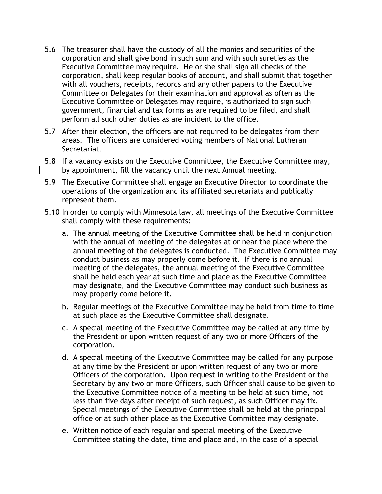- 5.6 The treasurer shall have the custody of all the monies and securities of the corporation and shall give bond in such sum and with such sureties as the Executive Committee may require. He or she shall sign all checks of the corporation, shall keep regular books of account, and shall submit that together with all vouchers, receipts, records and any other papers to the Executive Committee or Delegates for their examination and approval as often as the Executive Committee or Delegates may require, is authorized to sign such government, financial and tax forms as are required to be filed, and shall perform all such other duties as are incident to the office.
- 5.7 After their election, the officers are not required to be delegates from their areas. The officers are considered voting members of National Lutheran Secretariat.
- 5.8 If a vacancy exists on the Executive Committee, the Executive Committee may, by appointment, fill the vacancy until the next Annual meeting.
- 5.9 The Executive Committee shall engage an Executive Director to coordinate the operations of the organization and its affiliated secretariats and publically represent them.
- 5.10 In order to comply with Minnesota law, all meetings of the Executive Committee shall comply with these requirements:
	- a. The annual meeting of the Executive Committee shall be held in conjunction with the annual of meeting of the delegates at or near the place where the annual meeting of the delegates is conducted. The Executive Committee may conduct business as may properly come before it. If there is no annual meeting of the delegates, the annual meeting of the Executive Committee shall be held each year at such time and place as the Executive Committee may designate, and the Executive Committee may conduct such business as may properly come before it.
	- b. Regular meetings of the Executive Committee may be held from time to time at such place as the Executive Committee shall designate.
	- c. A special meeting of the Executive Committee may be called at any time by the President or upon written request of any two or more Officers of the corporation.
	- d. A special meeting of the Executive Committee may be called for any purpose at any time by the President or upon written request of any two or more Officers of the corporation. Upon request in writing to the President or the Secretary by any two or more Officers, such Officer shall cause to be given to the Executive Committee notice of a meeting to be held at such time, not less than five days after receipt of such request, as such Officer may fix. Special meetings of the Executive Committee shall be held at the principal office or at such other place as the Executive Committee may designate.
	- e. Written notice of each regular and special meeting of the Executive Committee stating the date, time and place and, in the case of a special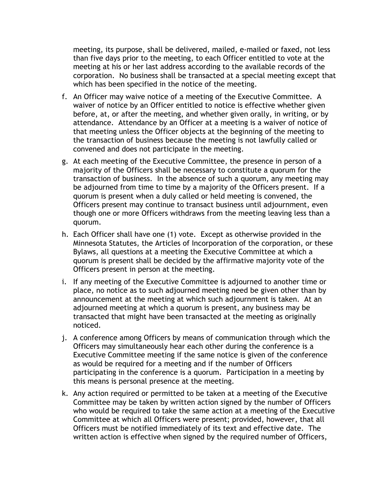meeting, its purpose, shall be delivered, mailed, e-mailed or faxed, not less than five days prior to the meeting, to each Officer entitled to vote at the meeting at his or her last address according to the available records of the corporation. No business shall be transacted at a special meeting except that which has been specified in the notice of the meeting.

- f. An Officer may waive notice of a meeting of the Executive Committee. A waiver of notice by an Officer entitled to notice is effective whether given before, at, or after the meeting, and whether given orally, in writing, or by attendance. Attendance by an Officer at a meeting is a waiver of notice of that meeting unless the Officer objects at the beginning of the meeting to the transaction of business because the meeting is not lawfully called or convened and does not participate in the meeting.
- g. At each meeting of the Executive Committee, the presence in person of a majority of the Officers shall be necessary to constitute a quorum for the transaction of business. In the absence of such a quorum, any meeting may be adjourned from time to time by a majority of the Officers present. If a quorum is present when a duly called or held meeting is convened, the Officers present may continue to transact business until adjournment, even though one or more Officers withdraws from the meeting leaving less than a quorum.
- h. Each Officer shall have one (1) vote. Except as otherwise provided in the Minnesota Statutes, the Articles of Incorporation of the corporation, or these Bylaws, all questions at a meeting the Executive Committee at which a quorum is present shall be decided by the affirmative majority vote of the Officers present in person at the meeting.
- i. If any meeting of the Executive Committee is adjourned to another time or place, no notice as to such adjourned meeting need be given other than by announcement at the meeting at which such adjournment is taken. At an adjourned meeting at which a quorum is present, any business may be transacted that might have been transacted at the meeting as originally noticed.
- j. A conference among Officers by means of communication through which the Officers may simultaneously hear each other during the conference is a Executive Committee meeting if the same notice is given of the conference as would be required for a meeting and if the number of Officers participating in the conference is a quorum. Participation in a meeting by this means is personal presence at the meeting.
- k. Any action required or permitted to be taken at a meeting of the Executive Committee may be taken by written action signed by the number of Officers who would be required to take the same action at a meeting of the Executive Committee at which all Officers were present; provided, however, that all Officers must be notified immediately of its text and effective date. The written action is effective when signed by the required number of Officers,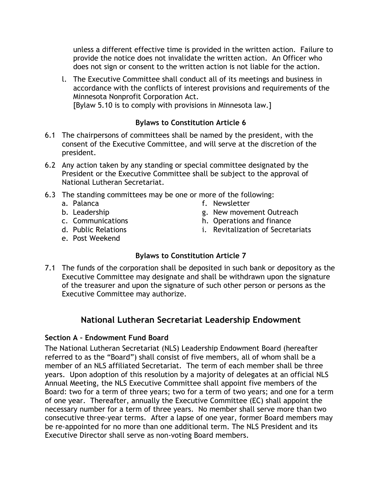unless a different effective time is provided in the written action. Failure to provide the notice does not invalidate the written action. An Officer who does not sign or consent to the written action is not liable for the action.

l. The Executive Committee shall conduct all of its meetings and business in accordance with the conflicts of interest provisions and requirements of the Minnesota Nonprofit Corporation Act. [Bylaw 5.10 is to comply with provisions in Minnesota law.]

**Bylaws to Constitution Article 6**

- 6.1 The chairpersons of committees shall be named by the president, with the consent of the Executive Committee, and will serve at the discretion of the president.
- 6.2 Any action taken by any standing or special committee designated by the President or the Executive Committee shall be subject to the approval of National Lutheran Secretariat.
- 6.3 The standing committees may be one or more of the following:
	- a. Palanca
	- b. Leadership
	- c. Communications
	- d. Public Relations
	- e. Post Weekend
- **Bylaws to Constitution Article 7**

f. Newsletter

g. New movement Outreach h. Operations and finance

i. Revitalization of Secretariats

7.1 The funds of the corporation shall be deposited in such bank or depository as the Executive Committee may designate and shall be withdrawn upon the signature of the treasurer and upon the signature of such other person or persons as the Executive Committee may authorize.

# **National Lutheran Secretariat Leadership Endowment**

# **Section A – Endowment Fund Board**

The National Lutheran Secretariat (NLS) Leadership Endowment Board (hereafter referred to as the "Board") shall consist of five members, all of whom shall be a member of an NLS affiliated Secretariat. The term of each member shall be three years. Upon adoption of this resolution by a majority of delegates at an official NLS Annual Meeting, the NLS Executive Committee shall appoint five members of the Board: two for a term of three years; two for a term of two years; and one for a term of one year. Thereafter, annually the Executive Committee (EC) shall appoint the necessary number for a term of three years. No member shall serve more than two consecutive three-year terms. After a lapse of one year, former Board members may be re-appointed for no more than one additional term. The NLS President and its Executive Director shall serve as non-voting Board members.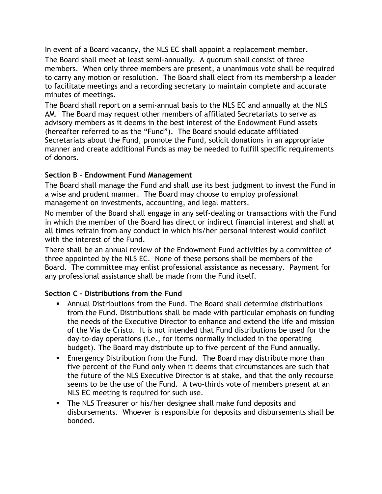In event of a Board vacancy, the NLS EC shall appoint a replacement member.

The Board shall meet at least semi-annually. A quorum shall consist of three members. When only three members are present, a unanimous vote shall be required to carry any motion or resolution. The Board shall elect from its membership a leader to facilitate meetings and a recording secretary to maintain complete and accurate minutes of meetings.

The Board shall report on a semi-annual basis to the NLS EC and annually at the NLS AM. The Board may request other members of affiliated Secretariats to serve as advisory members as it deems in the best interest of the Endowment Fund assets (hereafter referred to as the "Fund"). The Board should educate affiliated Secretariats about the Fund, promote the Fund, solicit donations in an appropriate manner and create additional Funds as may be needed to fulfill specific requirements of donors.

### **Section B – Endowment Fund Management**

The Board shall manage the Fund and shall use its best judgment to invest the Fund in a wise and prudent manner. The Board may choose to employ professional management on investments, accounting, and legal matters.

No member of the Board shall engage in any self-dealing or transactions with the Fund in which the member of the Board has direct or indirect financial interest and shall at all times refrain from any conduct in which his/her personal interest would conflict with the interest of the Fund.

There shall be an annual review of the Endowment Fund activities by a committee of three appointed by the NLS EC. None of these persons shall be members of the Board. The committee may enlist professional assistance as necessary. Payment for any professional assistance shall be made from the Fund itself.

### **Section C – Distributions from the Fund**

- ! Annual Distributions from the Fund. The Board shall determine distributions from the Fund. Distributions shall be made with particular emphasis on funding the needs of the Executive Director to enhance and extend the life and mission of the Via de Cristo. It is not intended that Fund distributions be used for the day-to-day operations (i.e., for items normally included in the operating budget). The Board may distribute up to five percent of the Fund annually.
- **Emergency Distribution from the Fund. The Board may distribute more than** five percent of the Fund only when it deems that circumstances are such that the future of the NLS Executive Director is at stake, and that the only recourse seems to be the use of the Fund. A two-thirds vote of members present at an NLS EC meeting is required for such use.
- ! The NLS Treasurer or his/her designee shall make fund deposits and disbursements. Whoever is responsible for deposits and disbursements shall be bonded.